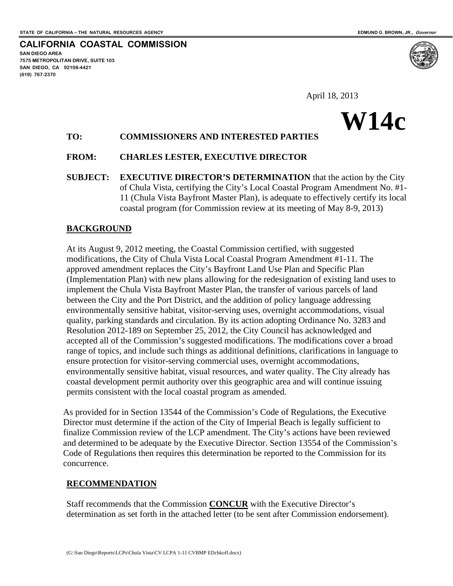**SAN DIEGO AREA** 

**(619) 767-2370** 

**7575 METROPOLITAN DRIVE, SUITE 103 SAN DIEGO, CA 92108-4421** 

**CALIFORNIA COASTAL COMMISSION** 

April 18, 2013

# **W14c**

# **TO: COMMISSIONERS AND INTERESTED PARTIES**

# **FROM: CHARLES LESTER, EXECUTIVE DIRECTOR**

**SUBJECT: EXECUTIVE DIRECTOR'S DETERMINATION** that the action by the City of Chula Vista, certifying the City's Local Coastal Program Amendment No. #1- 11 (Chula Vista Bayfront Master Plan), is adequate to effectively certify its local coastal program (for Commission review at its meeting of May 8-9, 2013)

# **BACKGROUND**

At its August 9, 2012 meeting, the Coastal Commission certified, with suggested modifications, the City of Chula Vista Local Coastal Program Amendment #1-11. The approved amendment replaces the City's Bayfront Land Use Plan and Specific Plan (Implementation Plan) with new plans allowing for the redesignation of existing land uses to implement the Chula Vista Bayfront Master Plan, the transfer of various parcels of land between the City and the Port District, and the addition of policy language addressing environmentally sensitive habitat, visitor-serving uses, overnight accommodations, visual quality, parking standards and circulation. By its action adopting Ordinance No. 3283 and Resolution 2012-189 on September 25, 2012, the City Council has acknowledged and accepted all of the Commission's suggested modifications. The modifications cover a broad range of topics, and include such things as additional definitions, clarifications in language to ensure protection for visitor-serving commercial uses, overnight accommodations, environmentally sensitive habitat, visual resources, and water quality. The City already has coastal development permit authority over this geographic area and will continue issuing permits consistent with the local coastal program as amended.

As provided for in Section 13544 of the Commission's Code of Regulations, the Executive Director must determine if the action of the City of Imperial Beach is legally sufficient to finalize Commission review of the LCP amendment. The City's actions have been reviewed and determined to be adequate by the Executive Director. Section 13554 of the Commission's Code of Regulations then requires this determination be reported to the Commission for its concurrence.

# **RECOMMENDATION**

Staff recommends that the Commission **CONCUR** with the Executive Director's determination as set forth in the attached letter (to be sent after Commission endorsement).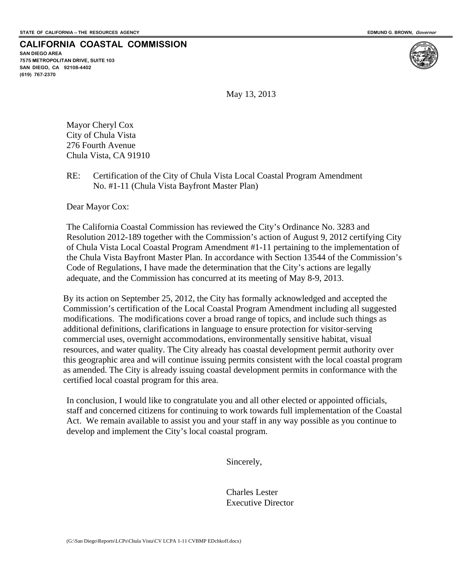**SAN DIEGO AREA 7575 METROPOLITAN DRIVE, SUITE 103 SAN DIEGO, CA 92108-4402 (619) 767-2370**

May 13, 2013

Mayor Cheryl Cox City of Chula Vista 276 Fourth Avenue Chula Vista, CA 91910

**CALIFORNIA COASTAL COMMISSION** 

RE: Certification of the City of Chula Vista Local Coastal Program Amendment No. #1-11 (Chula Vista Bayfront Master Plan)

Dear Mayor Cox:

The California Coastal Commission has reviewed the City's Ordinance No. 3283 and Resolution 2012-189 together with the Commission's action of August 9, 2012 certifying City of Chula Vista Local Coastal Program Amendment #1-11 pertaining to the implementation of the Chula Vista Bayfront Master Plan. In accordance with Section 13544 of the Commission's Code of Regulations, I have made the determination that the City's actions are legally adequate, and the Commission has concurred at its meeting of May 8-9, 2013.

By its action on September 25, 2012, the City has formally acknowledged and accepted the Commission's certification of the Local Coastal Program Amendment including all suggested modifications. The modifications cover a broad range of topics, and include such things as additional definitions, clarifications in language to ensure protection for visitor-serving commercial uses, overnight accommodations, environmentally sensitive habitat, visual resources, and water quality. The City already has coastal development permit authority over this geographic area and will continue issuing permits consistent with the local coastal program as amended. The City is already issuing coastal development permits in conformance with the certified local coastal program for this area.

In conclusion, I would like to congratulate you and all other elected or appointed officials, staff and concerned citizens for continuing to work towards full implementation of the Coastal Act. We remain available to assist you and your staff in any way possible as you continue to develop and implement the City's local coastal program.

Sincerely,

 Charles Lester Executive Director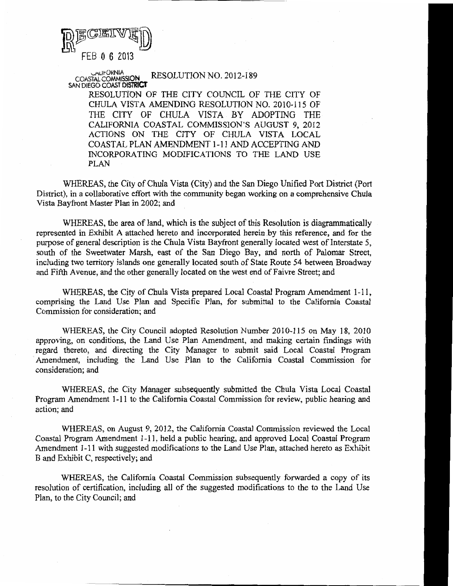

COASTAL COMMISSION RESOLUTION NO. 2012-189 SAN DIEGO COAST DISTRICT

> RESOLUTION OF THE CITY COUNCIL OF THE CITY OF CHULA VISTA AMENDING RESOLUTION NO. 2010-115 OF THE CITY OF CHULA VISTA BY ADOPTING THE CALIFORNIA COASTAL COMMISSION'S AUGUST 9, 2012 ACTIONS ON THE CITY OF CHULA VISTA LOCAL COASTAL PLAN AMENDMENT 1-11 AND ACCEPTING AND INCORPORATING MODIFICATIONS TO THE LAND USE **PLAN**

WHEREAS, the City of Chula Vista (City) and the San Diego Unified Port District (Port District), in a collaborative effort with the community began working on a comprehensive Chula Vista Bayfront Master Plan in 2002; and

WHEREAS, the area of land, which is the subject of this Resolution is diagrammatically represented in Exhibit A attached hereto and incorporated herein by this reference, and for the purpose of general description is the Chula Vista Bayfront generally located west of Interstate 5, south of the Sweetwater Marsh, east of the San Diego Bay, and north of Palomar Street, including two territory islands one generally located south of State Route 54 between Broadway and Fifth Avenue, and the other generally located on the west end of Faivre Street; and

WHEREAS, the City of Chula Vista prepared Local Coastal Program Amendment 1-11, comprising the Land Use Plan and Specific Plan, for submittal to the California Coastal Commission for consideration; and

WHEREAS, the City Council adopted Resolution Number 2010-115 on May 18, 2010 approving, on conditions, the Land Use Plan Amendment, and making certain findings with regard thereto, and directing the City Manager to submit said Local Coastal Program Amendment, including the Land Use Plan to the California Coastal Commission for consideration; and

WHEREAS, the City Manager subsequently submitted the Chula Vista Local Coastal Program Amendment 1-11 to the California Coastal Commission for review, public hearing and action; and

WHEREAS, on August 9, 2012, the California Coastal Commission reviewed the Local Coastal Program Amendment 1-11, held a public hearing, and approved Local Coastal Program Amendment 1-11 with suggested modifications to the Land Use Plan, attached hereto as Exhibit B and Exhibit C, respectively; and

WHEREAS, the California Coastal Commission subsequently forwarded a copy of its resolution of certification, including all of the suggested modifications to the to the Land Use Plan, to the City Council; and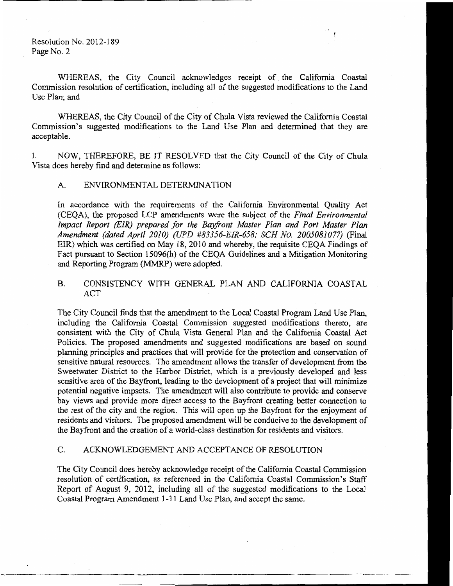Resolution No. 2012-189 Page No. 2

WHEREAS, the City Council acknowledges receipt of the California Coastal Commission resolution of certification, including all of the suggested modifications to the Land Use Plan; and

WHEREAS, the City Council of the City of Chula Vista reviewed the California Coastal Commission's suggested modifications to the Land Use Plan and determined that they are acceptable.

NOW, THEREFORE, BE IT RESOLVED that the City Council of the City of Chula I. Vista does hereby find and determine as follows:

#### ENVIRONMENTAL DETERMINATION  $A<sub>1</sub>$

In accordance with the requirements of the California Environmental Ouality Act (CEQA), the proposed LCP amendments were the subject of the Final Environmental Impact Report (EIR) prepared for the Bayfront Master Plan and Port Master Plan Amendment (dated April 2010) (UPD #83356-EIR-658; SCH No. 2005081077) (Final EIR) which was certified on May 18, 2010 and whereby, the requisite CEQA Findings of Fact pursuant to Section 15096(h) of the CEOA Guidelines and a Mitigation Monitoring and Reporting Program (MMRP) were adopted.

## **B.** CONSISTENCY WITH GENERAL PLAN AND CALIFORNIA COASTAL **ACT**

The City Council finds that the amendment to the Local Coastal Program Land Use Plan, including the California Coastal Commission suggested modifications thereto, are consistent with the City of Chula Vista General Plan and the California Coastal Act Policies. The proposed amendments and suggested modifications are based on sound planning principles and practices that will provide for the protection and conservation of sensitive natural resources. The amendment allows the transfer of development from the Sweetwater District to the Harbor District, which is a previously developed and less sensitive area of the Bayfront, leading to the development of a project that will minimize potential negative impacts. The amendment will also contribute to provide and conserve bay views and provide more direct access to the Bayfront creating better connection to the rest of the city and the region. This will open up the Bayfront for the enjoyment of residents and visitors. The proposed amendment will be conducive to the development of the Bayfront and the creation of a world-class destination for residents and visitors.

#### $C_{\cdot}$ ACKNOWLEDGEMENT AND ACCEPTANCE OF RESOLUTION

The City Council does hereby acknowledge receipt of the California Coastal Commission resolution of certification, as referenced in the California Coastal Commission's Staff Report of August 9, 2012, including all of the suggested modifications to the Local Coastal Program Amendment 1-11 Land Use Plan, and accept the same.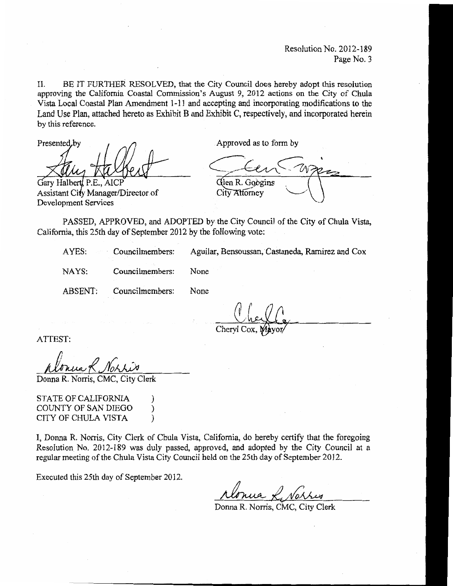Resolution No. 2012-189 Page No. 3

BE IT FURTHER RESOLVED, that the City Council does hereby adopt this resolution  $II.$ approving the California Coastal Commission's August 9, 2012 actions on the City of Chula Vista Local Coastal Plan Amendment 1-11 and accepting and incorporating modifications to the Land Use Plan, attached hereto as Exhibit B and Exhibit C, respectively, and incorporated herein by this reference.

Presented, by

Gary Halbertl P.E. Assistant City Manager/Director of Development Services

Approved as to form by

Glen R. Googins City Attorney

PASSED, APPROVED, and ADOPTED by the City Council of the City of Chula Vista, California, this 25th day of September 2012 by the following vote:

Councilmembers: AYES:

Aguilar, Bensoussan, Castaneda, Ramirez and Cox

NAYS: Councilmembers: None

Councilmembers: **ABSENT:** 

None

Cheryl Cox

ATTEST:

Donna R. Norris, CMC, City Clerk

STATE OF CALIFORNIA  $\lambda$ COUNTY OF SAN DIEGO € CITY OF CHULA VISTA  $\lambda$ 

I, Donna R. Norris, City Clerk of Chula Vista, California, do hereby certify that the foregoing Resolution No. 2012-189 was duly passed, approved, and adopted by the City Council at a regular meeting of the Chula Vista City Council held on the 25th day of September 2012.

Executed this 25th day of September 2012.

Nonua L Nortus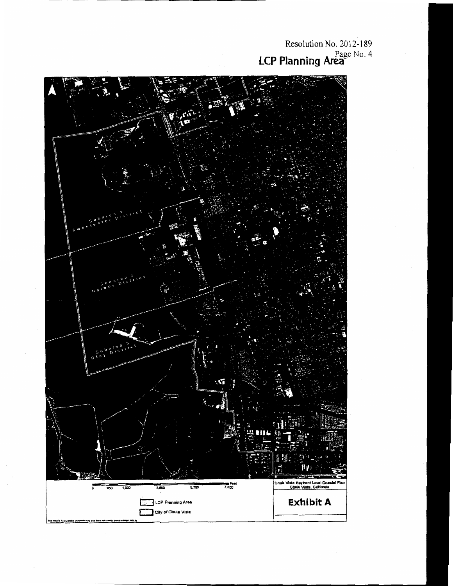Resolution No. 2012-189 LCP Planning Area

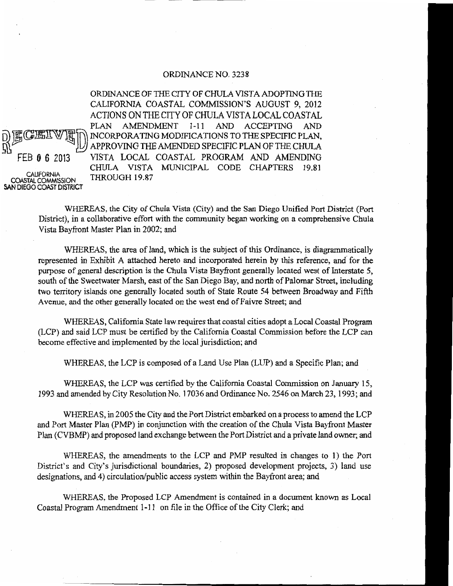## ORDINANCE NO. 3238

ORDINANCE OF THE CITY OF CHULA VISTA ADOPTING THE CALIFORNIA COASTAL COMMISSION'S AUGUST 9, 2012 ACTIONS ON THE CITY OF CHULA VISTA LOCAL COASTAL **PLAN AMENDMENT**  $1 - 11$ **AND** ACCEPTING **AND** INCORPORATING MODIFICATIONS TO THE SPECIFIC PLAN. APPROVING THE AMENDED SPECIFIC PLAN OF THE CHULA VISTA LOCAL COASTAL PROGRAM AND AMENDING FEB 0 6 2013 CHULA VISTA MUNICIPAL CODE CHAPTERS 19.81 CALIFORNIA THROUGH 19.87 ASTAL COMMISSION SAN DIEGO COAST DISTRICT

> WHEREAS, the City of Chula Vista (City) and the San Diego Unified Port District (Port District), in a collaborative effort with the community began working on a comprehensive Chula Vista Bayfront Master Plan in 2002; and

> WHEREAS, the area of land, which is the subject of this Ordinance, is diagrammatically represented in Exhibit A attached hereto and incorporated herein by this reference, and for the purpose of general description is the Chula Vista Bayfront generally located west of Interstate 5, south of the Sweetwater Marsh, east of the San Diego Bay, and north of Palomar Street, including two territory islands one generally located south of State Route 54 between Broadway and Fifth Avenue, and the other generally located on the west end of Faivre Street; and

> WHEREAS, California State law requires that coastal cities adopt a Local Coastal Program (LCP) and said LCP must be certified by the California Coastal Commission before the LCP can become effective and implemented by the local jurisdiction; and

WHEREAS, the LCP is composed of a Land Use Plan (LUP) and a Specific Plan; and

WHEREAS, the LCP was certified by the California Coastal Commission on January 15, 1993 and amended by City Resolution No. 17036 and Ordinance No. 2546 on March 23, 1993; and

WHEREAS, in 2005 the City and the Port District embarked on a process to amend the LCP and Port Master Plan (PMP) in conjunction with the creation of the Chula Vista Bayfront Master Plan (CVBMP) and proposed land exchange between the Port District and a private land owner; and

WHEREAS, the amendments to the LCP and PMP resulted in changes to 1) the Port District's and City's jurisdictional boundaries, 2) proposed development projects, 3) land use designations, and 4) circulation/public access system within the Bayfront area; and

WHEREAS, the Proposed LCP Amendment is contained in a document known as Local Coastal Program Amendment 1-11 on file in the Office of the City Clerk; and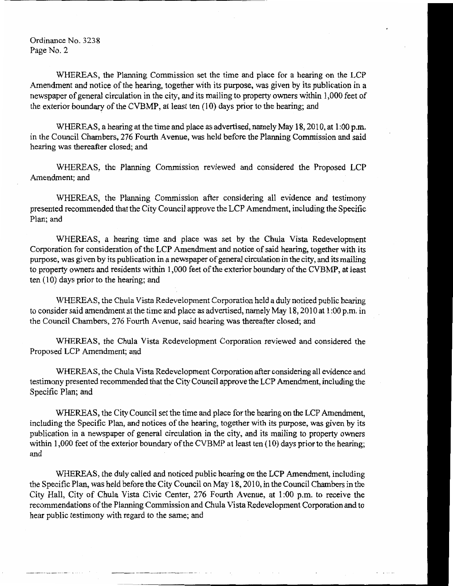WHEREAS, the Planning Commission set the time and place for a hearing on the LCP Amendment and notice of the hearing, together with its purpose, was given by its publication in a newspaper of general circulation in the city, and its mailing to property owners within 1,000 feet of the exterior boundary of the CVBMP, at least ten (10) days prior to the hearing; and

WHEREAS, a hearing at the time and place as advertised, namely May 18, 2010, at 1:00 p.m. in the Council Chambers, 276 Fourth Avenue, was held before the Planning Commission and said hearing was thereafter closed; and

WHEREAS, the Planning Commission reviewed and considered the Proposed LCP Amendment; and

WHEREAS, the Planning Commission after considering all evidence and testimony presented recommended that the City Council approve the LCP Amendment, including the Specific Plan; and

WHEREAS, a hearing time and place was set by the Chula Vista Redevelopment Corporation for consideration of the LCP Amendment and notice of said hearing, together with its purpose, was given by its publication in a newspaper of general circulation in the city, and its mailing to property owners and residents within 1,000 feet of the exterior boundary of the CVBMP, at least ten (10) days prior to the hearing; and

WHEREAS, the Chula Vista Redevelopment Corporation held a duly noticed public hearing to consider said amendment at the time and place as advertised, namely May 18, 2010 at 1:00 p.m. in the Council Chambers, 276 Fourth Avenue, said hearing was thereafter closed; and

WHEREAS, the Chula Vista Redevelopment Corporation reviewed and considered the Proposed LCP Amendment; and

WHEREAS, the Chula Vista Redevelopment Corporation after considering all evidence and testimony presented recommended that the City Council approve the LCP Amendment, including the Specific Plan; and

WHEREAS, the City Council set the time and place for the hearing on the LCP Amendment, including the Specific Plan, and notices of the hearing, together with its purpose, was given by its publication in a newspaper of general circulation in the city, and its mailing to property owners within 1,000 feet of the exterior boundary of the CVBMP at least ten (10) days prior to the hearing; and

WHEREAS, the duly called and noticed public hearing on the LCP Amendment, including the Specific Plan, was held before the City Council on May 18, 2010, in the Council Chambers in the City Hall, City of Chula Vista Civic Center, 276 Fourth Avenue, at 1:00 p.m. to receive the recommendations of the Planning Commission and Chula Vista Redevelopment Corporation and to hear public testimony with regard to the same; and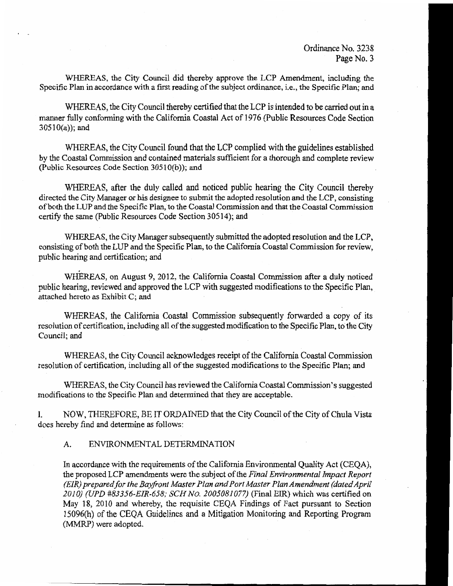WHEREAS, the City Council did thereby approve the LCP Amendment, including the Specific Plan in accordance with a first reading of the subject ordinance, i.e., the Specific Plan; and

WHEREAS, the City Council thereby certified that the LCP is intended to be carried out in a manner fully conforming with the California Coastal Act of 1976 (Public Resources Code Section  $30510(a)$ ; and

WHEREAS, the City Council found that the LCP complied with the guidelines established by the Coastal Commission and contained materials sufficient for a thorough and complete review (Public Resources Code Section 30510(b)); and

WHEREAS, after the duly called and noticed public hearing the City Council thereby directed the City Manager or his designee to submit the adopted resolution and the LCP, consisting of both the LUP and the Specific Plan, to the Coastal Commission and that the Coastal Commission certify the same (Public Resources Code Section 30514); and

WHEREAS, the City Manager subsequently submitted the adopted resolution and the LCP, consisting of both the LUP and the Specific Plan, to the California Coastal Commission for review, public hearing and certification; and

WHEREAS, on August 9, 2012, the California Coastal Commission after a duly noticed public hearing, reviewed and approved the LCP with suggested modifications to the Specific Plan, attached hereto as Exhibit C; and

WHEREAS, the California Coastal Commission subsequently forwarded a copy of its resolution of certification, including all of the suggested modification to the Specific Plan, to the City Council; and

WHEREAS, the City Council acknowledges receipt of the California Coastal Commission resolution of certification, including all of the suggested modifications to the Specific Plan; and

WHEREAS, the City Council has reviewed the California Coastal Commission's suggested modifications to the Specific Plan and determined that they are acceptable.

NOW, THEREFORE, BE IT ORDAINED that the City Council of the City of Chula Vista L does hereby find and determine as follows:

#### A. ENVIRONMENTAL DETERMINATION

In accordance with the requirements of the California Environmental Quality Act (CEQA), the proposed LCP amendments were the subject of the Final Environmental Impact Report (EIR) prepared for the Bayfront Master Plan and Port Master Plan Amendment (dated April 2010) (UPD #83356-EIR-658; SCH No. 2005081077) (Final EIR) which was certified on May 18, 2010 and whereby, the requisite CEQA Findings of Fact pursuant to Section 15096(h) of the CEQA Guidelines and a Mitigation Monitoring and Reporting Program (MMRP) were adopted.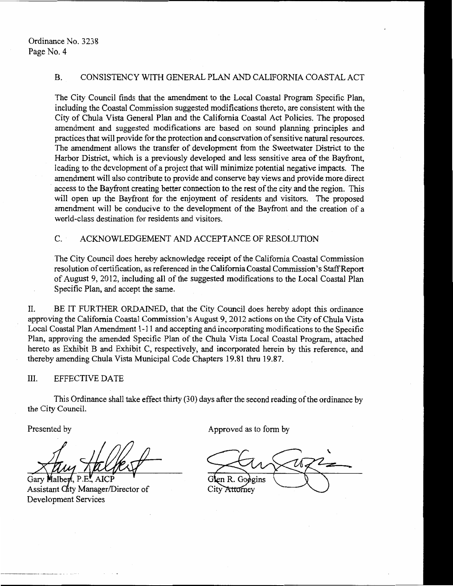#### **B.** CONSISTENCY WITH GENERAL PLAN AND CALIFORNIA COASTAL ACT

The City Council finds that the amendment to the Local Coastal Program Specific Plan, including the Coastal Commission suggested modifications thereto, are consistent with the City of Chula Vista General Plan and the California Coastal Act Policies. The proposed amendment and suggested modifications are based on sound planning principles and practices that will provide for the protection and conservation of sensitive natural resources. The amendment allows the transfer of development from the Sweetwater District to the Harbor District, which is a previously developed and less sensitive area of the Bayfront, leading to the development of a project that will minimize potential negative impacts. The amendment will also contribute to provide and conserve bay views and provide more direct access to the Bayfront creating better connection to the rest of the city and the region. This will open up the Bayfront for the enjoyment of residents and visitors. The proposed amendment will be conducive to the development of the Bayfront and the creation of a world-class destination for residents and visitors.

### C. ACKNOWLEDGEMENT AND ACCEPTANCE OF RESOLUTION

The City Council does hereby acknowledge receipt of the California Coastal Commission resolution of certification, as referenced in the California Coastal Commission's Staff Report of August 9, 2012, including all of the suggested modifications to the Local Coastal Plan Specific Plan, and accept the same.

II. BE IT FURTHER ORDAINED, that the City Council does hereby adopt this ordinance approving the California Coastal Commission's August 9, 2012 actions on the City of Chula Vista Local Coastal Plan Amendment 1-11 and accepting and incorporating modifications to the Specific Plan, approving the amended Specific Plan of the Chula Vista Local Coastal Program, attached hereto as Exhibit B and Exhibit C, respectively, and incorporated herein by this reference, and thereby amending Chula Vista Municipal Code Chapters 19.81 thru 19.87.

#### III. EFFECTIVE DATE

This Ordinance shall take effect thirty (30) days after the second reading of the ordinance by the City Council.

Presented by

Gary Malbert, P.E  $AICP$ Assistant City Manager/Director of Development Services

Approved as to form by

Glen R. Godeins City Attorney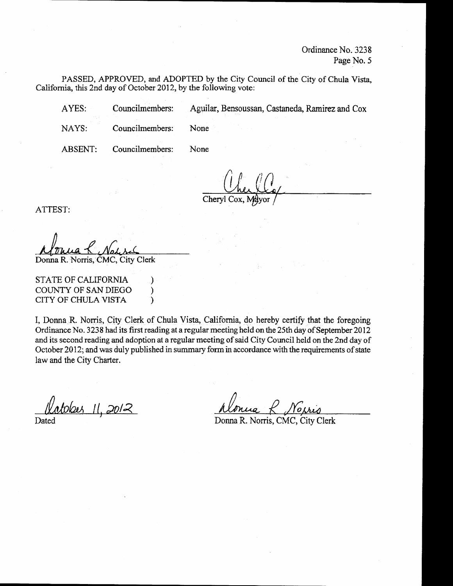PASSED, APPROVED, and ADOPTED by the City Council of the City of Chula Vista, California, this 2nd day of October 2012, by the following vote:

> Councilmembers: Aguilar, Bensoussan, Castaneda, Ramirez and Cox

NAYS:

AYES:

Councilmembers:

Councilmembers: **ABSENT:** 

 $\mathcal{Y}$ 

 $\mathcal{E}$ 

 $\lambda$ 

None

None

Cheryl Cox,

ATTEST:

Clerk

STATE OF CALIFORNIA COUNTY OF SAN DIEGO CITY OF CHULA VISTA

I, Donna R. Norris, City Clerk of Chula Vista, California, do hereby certify that the foregoing Ordinance No. 3238 had its first reading at a regular meeting held on the 25th day of September 2012 and its second reading and adoption at a regular meeting of said City Council held on the 2nd day of October 2012; and was duly published in summary form in accordance with the requirements of state law and the City Charter.

Potobes 11, 2012

Donna R. Norris, CMC. City Clerk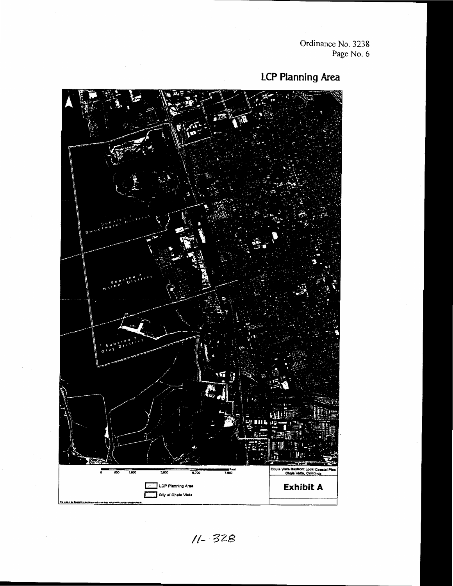

**LCP Planning Area** 

 $11 - 328$